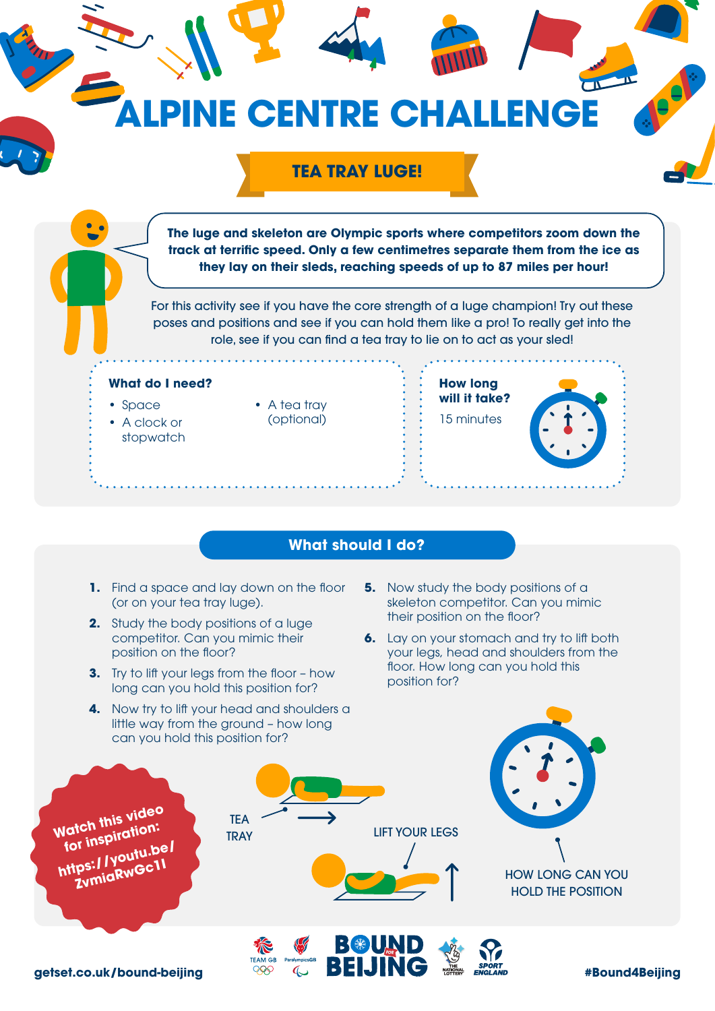

**PINE CENTRE CHALLENGE** 

**The luge and skeleton are Olympic sports where competitors zoom down the track at terrific speed. Only a few centimetres separate them from the ice as** 

**TEA TRAY LUGE!**